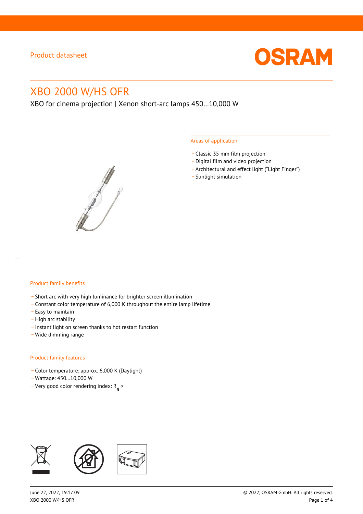

# XBO 2000 W/HS OFR

XBO for cinema projection | Xenon short-arc lamps 450…10,000 W



#### Areas of application

- \_ Classic 35 mm film projection
- \_ Digital film and video projection
- \_ Architectural and effect light ("Light Finger")
- Sunlight simulation

#### Product family benefits

- \_ Short arc with very high luminance for brighter screen illumination
- \_ Constant color temperature of 6,000 K throughout the entire lamp lifetime
- \_ Easy to maintain
- High arc stability
- \_ Instant light on screen thanks to hot restart function
- \_ Wide dimming range

#### Product family features

- \_ Color temperature: approx. 6,000 K (Daylight)
- \_ Wattage: 450…10,000 W
- Very good color rendering index:  $R_{\text{a}}$  >

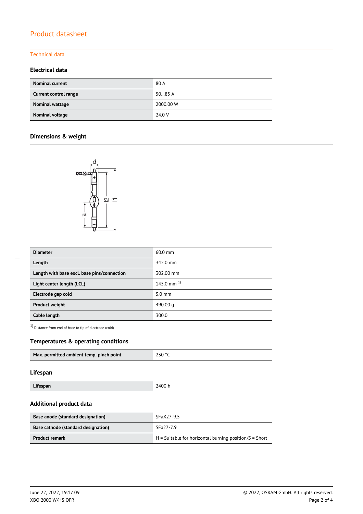### Technical data

## **Electrical data**

| <b>Nominal current</b> | 80 A      |
|------------------------|-----------|
| Current control range  | 5085A     |
| Nominal wattage        | 2000.00 W |
| Nominal voltage        | 24.0 V    |

### **Dimensions & weight**



| <b>Diameter</b>                             | $60.0$ mm        |
|---------------------------------------------|------------------|
| Length                                      | 342.0 mm         |
| Length with base excl. base pins/connection | 302.00 mm        |
| Light center length (LCL)                   | 145.0 mm $^{1}$  |
| Electrode gap cold                          | $5.0 \text{ mm}$ |
| <b>Product weight</b>                       | 490.00 g         |
| Cable length                                | 300.0            |

1) Distance from end of base to tip of electrode (cold)

#### **Temperatures & operating conditions**

| Max. permitted ambient temp. pinch point | 230 °C |
|------------------------------------------|--------|

#### **Lifespan**

| Lifespan | 2400 h |
|----------|--------|

#### **Additional product data**

| Base anode (standard designation)   | SFaX27-9.5                                               |  |  |
|-------------------------------------|----------------------------------------------------------|--|--|
| Base cathode (standard designation) | SFa27-7.9                                                |  |  |
| <b>Product remark</b>               | $H =$ Suitable for horizontal burning position/S = Short |  |  |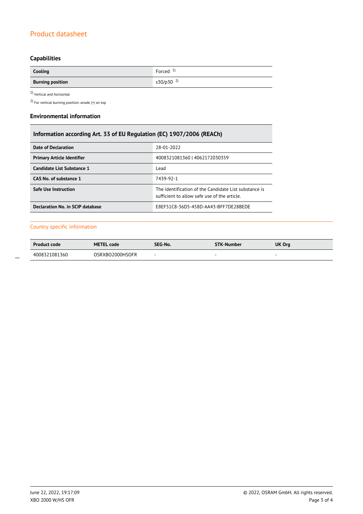# **Capabilities**

| Cooling                 | Forced $1$    |
|-------------------------|---------------|
| <b>Burning position</b> | $s30/p30^{2}$ |

 $1$ Vertical and horizontal  $\,$ 

2) For vertical burning position: anode (+) on top

#### **Environmental information**

| Information according Art. 33 of EU Regulation (EC) 1907/2006 (REACh) |                                                                                                      |  |  |
|-----------------------------------------------------------------------|------------------------------------------------------------------------------------------------------|--|--|
| <b>Date of Declaration</b>                                            | 28-01-2022                                                                                           |  |  |
| <b>Primary Article Identifier</b>                                     | 4008321081360   4062172030359                                                                        |  |  |
| Candidate List Substance 1                                            | Lead                                                                                                 |  |  |
| CAS No. of substance 1                                                | 7439-92-1                                                                                            |  |  |
| <b>Safe Use Instruction</b>                                           | The identification of the Candidate List substance is<br>sufficient to allow safe use of the article |  |  |
| Declaration No. in SCIP database                                      | E8EF51C8-36D5-458D-AA43-BFF7DE28BEDE                                                                 |  |  |

#### Country specific information

| <b>Product code</b> | <b>METEL code</b> | SEG-No.                  | <b>STK-Number</b> | UK Org |
|---------------------|-------------------|--------------------------|-------------------|--------|
| 4008321081360       | OSRXBO2000HSOFR   | $\overline{\phantom{a}}$ |                   |        |